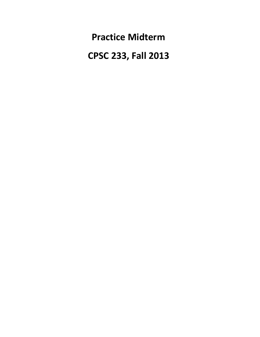**Practice Midterm**

 **CPSC 233, Fall 2013**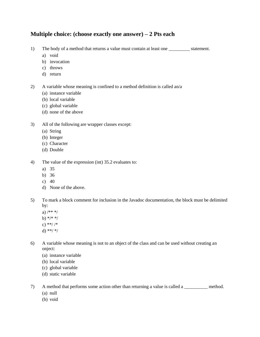### **Multiple choice: (choose exactly one answer) – 2 Pts each**

- 1) The body of a method that returns a value must contain at least one \_\_\_\_\_\_\_\_\_ statement.
	- a) void
	- b) invocation
	- c) throws
	- d) return
- 2) A variable whose meaning is confined to a method definition is called an/a
	- (a) instance variable
	- (b) local variable
	- (c) global variable
	- (d) none of the above
- 3) All of the following are wrapper classes except:
	- (a) String
	- (b) Integer
	- (c) Character
	- (d) Double
- 4) The value of the expression (int) 35.2 evaluates to:
	- a) 35
	- b) 36
	- c)  $40$
	- d) None of the above.
- 5) To mark a block comment for inclusion in the Javadoc documentation, the block must be delimited by:
	- a)  $/***/$
	- b) \*/\* \*/
	- c) \*\*/ /\*
	- d) \*\*/ \*/
- 6) A variable whose meaning is not to an object of the class and can be used without creating an onject:
	- (a) instance variable
	- (b) local variable
	- (c) global variable
	- (d) static variable
- 7) A method that performs some action other than returning a value is called a \_\_\_\_\_\_\_\_\_\_ method.
	- (a) null
	- (b) void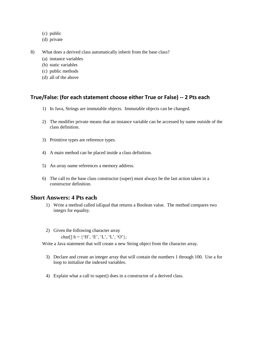- (c) public
- (d) private
- 8) What does a derived class automatically inherit from the base class?
	- (a) instance variables
	- (b) static variables
	- (c) public methods
	- (d) all of the above

#### **True/False: (for each statement choose either True or False) -- 2 Pts each**

- 1) In Java, Strings are immutable objects. Immutable objects can be changed.
- 2) The modifier private means that an instance variable can be accessed by name outside of the class definition.
- 3) Primitive types are reference types.
- 4) A main method can be placed inside a class definition.
- 5) An array name references a memory address.
- 6) The call to the base class constructor (super) must always be the last action taken in a constructor definition.

#### **Short Answers: 4 Pts each**

- 1) Write a method called isEqual that returns a Boolean value. The method compares two integrs for equality.
- 2) Given the following character array

char[] h =  $\{^{\prime}$ H',  $^{\prime}$ E',  $^{\prime}$ L',  $^{\prime}$ C'};

Write a Java statement that will create a new String object from the character array.

- 3) Declare and create an integer array that will contain the numbers 1 through 100. Use a for loop to initialize the indexed variables.
- 4) Explain what a call to super() does in a constructor of a derived class.